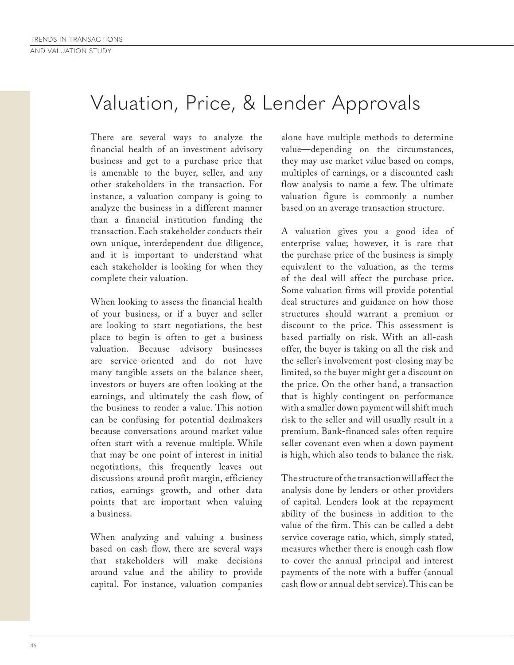## Valuation, Price, & Lender Approvals

There are several ways to analyze the financial health of an investment advisory business and get to a purchase price that is amenable to the buyer, seller, and any other stakeholders in the transaction. For instance, a valuation company is going to analyze the business in a different manner than a financial institution funding the transaction. Each stakeholder conducts their own unique, interdependent due diligence, and it is important to understand what each stakeholder is looking for when they complete their valuation.

When looking to assess the financial health of your business, or if a buyer and seller are looking to start negotiations, the best place to begin is often to get a business valuation. Because advisory businesses are service-oriented and do not have many tangible assets on the balance sheet, investors or buyers are often looking at the earnings, and ultimately the cash flow, of the business to render a value. This notion can be confusing for potential dealmakers because conversations around market value often start with a revenue multiple. While that may be one point of interest in initial negotiations, this frequently leaves out discussions around profit margin, efficiency ratios, earnings growth, and other data points that are important when valuing a business.

When analyzing and valuing a business based on cash flow, there are several ways that stakeholders will make decisions around value and the ability to provide capital. For instance, valuation companies alone have multiple methods to determine value—depending on the circumstances, they may use market value based on comps, multiples of earnings, or a discounted cash flow analysis to name a few. The ultimate valuation figure is commonly a number based on an average transaction structure.

A valuation gives you a good idea of enterprise value; however, it is rare that the purchase price of the business is simply equivalent to the valuation, as the terms of the deal will affect the purchase price. Some valuation firms will provide potential deal structures and guidance on how those structures should warrant a premium or discount to the price. This assessment is based partially on risk. With an all-cash offer, the buyer is taking on all the risk and the seller's involvement post-closing may be limited, so the buyer might get a discount on the price. On the other hand, a transaction that is highly contingent on performance with a smaller down payment will shift much risk to the seller and will usually result in a premium. Bank-financed sales often require seller covenant even when a down payment is high, which also tends to balance the risk.

The structure of the transaction will affect the analysis done by lenders or other providers of capital. Lenders look at the repayment ability of the business in addition to the value of the firm. This can be called a debt service coverage ratio, which, simply stated, measures whether there is enough cash flow to cover the annual principal and interest payments of the note with a buffer (annual cash flow or annual debt service). This can be